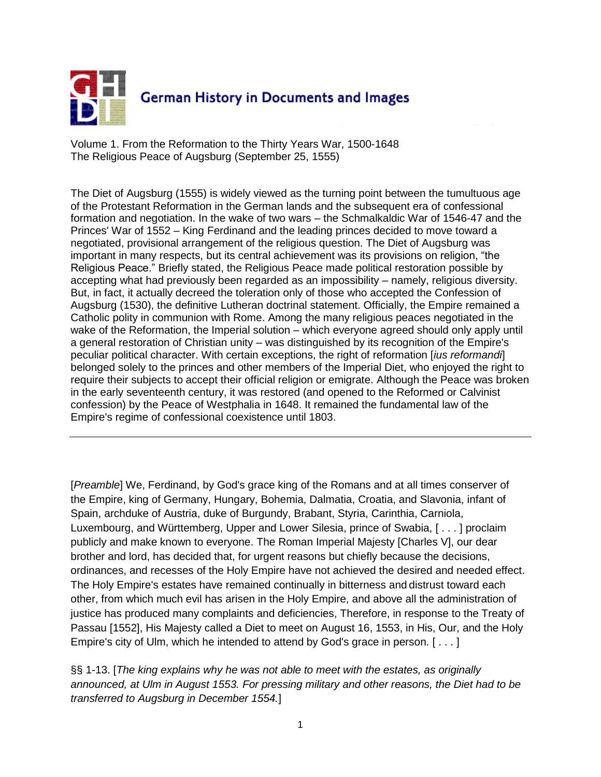

Volume 1. From the Reformation to the Thirty Years War, 1500-1648 The Religious Peace of Augsburg (September 25, 1555)

The Diet of Augsburg (1555) is widely viewed as the turning point between the tumultuous age of the Protestant Reformation in the German lands and the subsequent era of confessional formation and negotiation. In the wake of two wars – the Schmalkaldic War of 1546-47 and the Princes' War of 1552 – King Ferdinand and the leading princes decided to move toward a negotiated, provisional arrangement of the religious question. The Diet of Augsburg was important in many respects, but its central achievement was its provisions on religion, "the Religious Peace." Briefly stated, the Religious Peace made political restoration possible by accepting what had previously been regarded as an impossibility – namely, religious diversity. But, in fact, it actually decreed the toleration only of those who accepted the Confession of Augsburg (1530), the definitive Lutheran doctrinal statement. Officially, the Empire remained a Catholic polity in communion with Rome. Among the many religious peaces negotiated in the wake of the Reformation, the Imperial solution – which everyone agreed should only apply until a general restoration of Christian unity – was distinguished by its recognition of the Empire's peculiar political character. With certain exceptions, the right of reformation [*ius reformandi*] belonged solely to the princes and other members of the Imperial Diet, who enjoyed the right to require their subjects to accept their official religion or emigrate. Although the Peace was broken in the early seventeenth century, it was restored (and opened to the Reformed or Calvinist confession) by the Peace of Westphalia in 1648. It remained the fundamental law of the Empire's regime of confessional coexistence until 1803.

[*Preamble*] We, Ferdinand, by God's grace king of the Romans and at all times conserver of the Empire, king of Germany, Hungary, Bohemia, Dalmatia, Croatia, and Slavonia, infant of Spain, archduke of Austria, duke of Burgundy, Brabant, Styria, Carinthia, Carniola, Luxembourg, and Württemberg, Upper and Lower Silesia, prince of Swabia, [ . . . ] proclaim publicly and make known to everyone. The Roman Imperial Majesty [Charles V], our dear brother and lord, has decided that, for urgent reasons but chiefly because the decisions, ordinances, and recesses of the Holy Empire have not achieved the desired and needed effect. The Holy Empire's estates have remained continually in bitterness and distrust toward each other, from which much evil has arisen in the Holy Empire, and above all the administration of justice has produced many complaints and deficiencies, Therefore, in response to the Treaty of Passau [1552], His Majesty called a Diet to meet on August 16, 1553, in His, Our, and the Holy Empire's city of Ulm, which he intended to attend by God's grace in person. [ . . . ]

§§ 1-13. [*The king explains why he was not able to meet with the estates, as originally announced, at Ulm in August 1553. For pressing military and other reasons, the Diet had to be transferred to Augsburg in December 1554.*]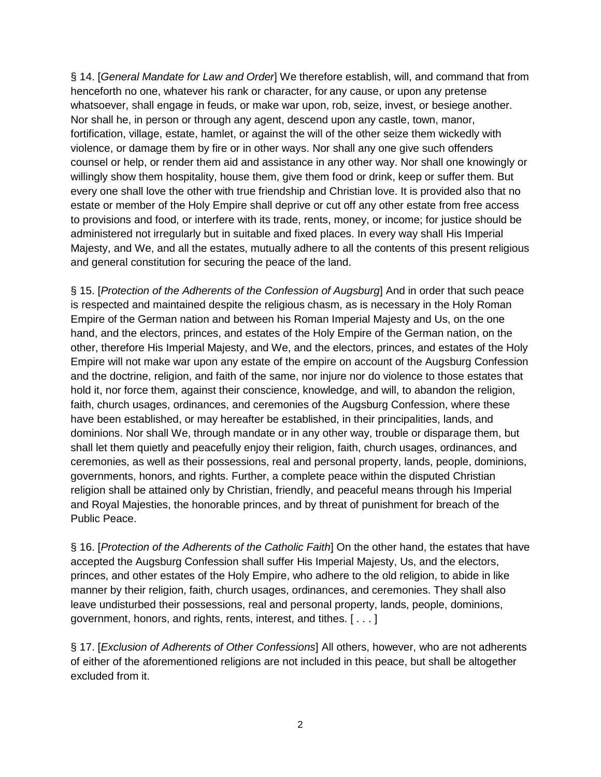§ 14. [*General Mandate for Law and Order*] We therefore establish, will, and command that from henceforth no one, whatever his rank or character, for any cause, or upon any pretense whatsoever, shall engage in feuds, or make war upon, rob, seize, invest, or besiege another. Nor shall he, in person or through any agent, descend upon any castle, town, manor, fortification, village, estate, hamlet, or against the will of the other seize them wickedly with violence, or damage them by fire or in other ways. Nor shall any one give such offenders counsel or help, or render them aid and assistance in any other way. Nor shall one knowingly or willingly show them hospitality, house them, give them food or drink, keep or suffer them. But every one shall love the other with true friendship and Christian love. It is provided also that no estate or member of the Holy Empire shall deprive or cut off any other estate from free access to provisions and food, or interfere with its trade, rents, money, or income; for justice should be administered not irregularly but in suitable and fixed places. In every way shall His Imperial Majesty, and We, and all the estates, mutually adhere to all the contents of this present religious and general constitution for securing the peace of the land.

§ 15. [*Protection of the Adherents of the Confession of Augsburg*] And in order that such peace is respected and maintained despite the religious chasm, as is necessary in the Holy Roman Empire of the German nation and between his Roman Imperial Majesty and Us, on the one hand, and the electors, princes, and estates of the Holy Empire of the German nation, on the other, therefore His Imperial Majesty, and We, and the electors, princes, and estates of the Holy Empire will not make war upon any estate of the empire on account of the Augsburg Confession and the doctrine, religion, and faith of the same, nor injure nor do violence to those estates that hold it, nor force them, against their conscience, knowledge, and will, to abandon the religion, faith, church usages, ordinances, and ceremonies of the Augsburg Confession, where these have been established, or may hereafter be established, in their principalities, lands, and dominions. Nor shall We, through mandate or in any other way, trouble or disparage them, but shall let them quietly and peacefully enjoy their religion, faith, church usages, ordinances, and ceremonies, as well as their possessions, real and personal property, lands, people, dominions, governments, honors, and rights. Further, a complete peace within the disputed Christian religion shall be attained only by Christian, friendly, and peaceful means through his Imperial and Royal Majesties, the honorable princes, and by threat of punishment for breach of the Public Peace.

§ 16. [*Protection of the Adherents of the Catholic Faith*] On the other hand, the estates that have accepted the Augsburg Confession shall suffer His Imperial Majesty, Us, and the electors, princes, and other estates of the Holy Empire, who adhere to the old religion, to abide in like manner by their religion, faith, church usages, ordinances, and ceremonies. They shall also leave undisturbed their possessions, real and personal property, lands, people, dominions, government, honors, and rights, rents, interest, and tithes. [ . . . ]

§ 17. [*Exclusion of Adherents of Other Confessions*] All others, however, who are not adherents of either of the aforementioned religions are not included in this peace, but shall be altogether excluded from it.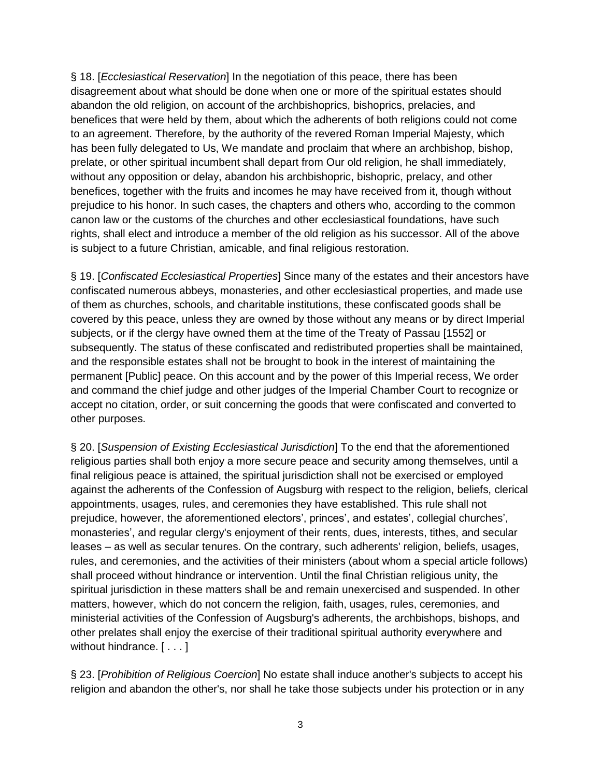§ 18. [*Ecclesiastical Reservation*] In the negotiation of this peace, there has been disagreement about what should be done when one or more of the spiritual estates should abandon the old religion, on account of the archbishoprics, bishoprics, prelacies, and benefices that were held by them, about which the adherents of both religions could not come to an agreement. Therefore, by the authority of the revered Roman Imperial Majesty, which has been fully delegated to Us, We mandate and proclaim that where an archbishop, bishop, prelate, or other spiritual incumbent shall depart from Our old religion, he shall immediately, without any opposition or delay, abandon his archbishopric, bishopric, prelacy, and other benefices, together with the fruits and incomes he may have received from it, though without prejudice to his honor. In such cases, the chapters and others who, according to the common canon law or the customs of the churches and other ecclesiastical foundations, have such rights, shall elect and introduce a member of the old religion as his successor. All of the above is subject to a future Christian, amicable, and final religious restoration.

§ 19. [*Confiscated Ecclesiastical Properties*] Since many of the estates and their ancestors have confiscated numerous abbeys, monasteries, and other ecclesiastical properties, and made use of them as churches, schools, and charitable institutions, these confiscated goods shall be covered by this peace, unless they are owned by those without any means or by direct Imperial subjects, or if the clergy have owned them at the time of the Treaty of Passau [1552] or subsequently. The status of these confiscated and redistributed properties shall be maintained, and the responsible estates shall not be brought to book in the interest of maintaining the permanent [Public] peace. On this account and by the power of this Imperial recess, We order and command the chief judge and other judges of the Imperial Chamber Court to recognize or accept no citation, order, or suit concerning the goods that were confiscated and converted to other purposes.

§ 20. [*Suspension of Existing Ecclesiastical Jurisdiction*] To the end that the aforementioned religious parties shall both enjoy a more secure peace and security among themselves, until a final religious peace is attained, the spiritual jurisdiction shall not be exercised or employed against the adherents of the Confession of Augsburg with respect to the religion, beliefs, clerical appointments, usages, rules, and ceremonies they have established. This rule shall not prejudice, however, the aforementioned electors', princes', and estates', collegial churches', monasteries', and regular clergy's enjoyment of their rents, dues, interests, tithes, and secular leases – as well as secular tenures. On the contrary, such adherents' religion, beliefs, usages, rules, and ceremonies, and the activities of their ministers (about whom a special article follows) shall proceed without hindrance or intervention. Until the final Christian religious unity, the spiritual jurisdiction in these matters shall be and remain unexercised and suspended. In other matters, however, which do not concern the religion, faith, usages, rules, ceremonies, and ministerial activities of the Confession of Augsburg's adherents, the archbishops, bishops, and other prelates shall enjoy the exercise of their traditional spiritual authority everywhere and without hindrance. [ . . . ]

§ 23. [*Prohibition of Religious Coercion*] No estate shall induce another's subjects to accept his religion and abandon the other's, nor shall he take those subjects under his protection or in any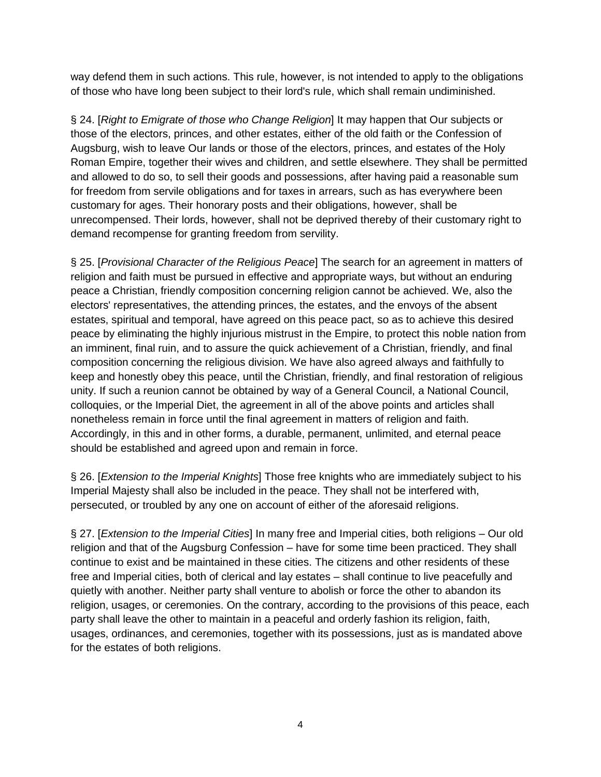way defend them in such actions. This rule, however, is not intended to apply to the obligations of those who have long been subject to their lord's rule, which shall remain undiminished.

§ 24. [*Right to Emigrate of those who Change Religion*] It may happen that Our subjects or those of the electors, princes, and other estates, either of the old faith or the Confession of Augsburg, wish to leave Our lands or those of the electors, princes, and estates of the Holy Roman Empire, together their wives and children, and settle elsewhere. They shall be permitted and allowed to do so, to sell their goods and possessions, after having paid a reasonable sum for freedom from servile obligations and for taxes in arrears, such as has everywhere been customary for ages. Their honorary posts and their obligations, however, shall be unrecompensed. Their lords, however, shall not be deprived thereby of their customary right to demand recompense for granting freedom from servility.

§ 25. [*Provisional Character of the Religious Peace*] The search for an agreement in matters of religion and faith must be pursued in effective and appropriate ways, but without an enduring peace a Christian, friendly composition concerning religion cannot be achieved. We, also the electors' representatives, the attending princes, the estates, and the envoys of the absent estates, spiritual and temporal, have agreed on this peace pact, so as to achieve this desired peace by eliminating the highly injurious mistrust in the Empire, to protect this noble nation from an imminent, final ruin, and to assure the quick achievement of a Christian, friendly, and final composition concerning the religious division. We have also agreed always and faithfully to keep and honestly obey this peace, until the Christian, friendly, and final restoration of religious unity. If such a reunion cannot be obtained by way of a General Council, a National Council, colloquies, or the Imperial Diet, the agreement in all of the above points and articles shall nonetheless remain in force until the final agreement in matters of religion and faith. Accordingly, in this and in other forms, a durable, permanent, unlimited, and eternal peace should be established and agreed upon and remain in force.

§ 26. [*Extension to the Imperial Knights*] Those free knights who are immediately subject to his Imperial Majesty shall also be included in the peace. They shall not be interfered with, persecuted, or troubled by any one on account of either of the aforesaid religions.

§ 27. [*Extension to the Imperial Cities*] In many free and Imperial cities, both religions – Our old religion and that of the Augsburg Confession – have for some time been practiced. They shall continue to exist and be maintained in these cities. The citizens and other residents of these free and Imperial cities, both of clerical and lay estates – shall continue to live peacefully and quietly with another. Neither party shall venture to abolish or force the other to abandon its religion, usages, or ceremonies. On the contrary, according to the provisions of this peace, each party shall leave the other to maintain in a peaceful and orderly fashion its religion, faith, usages, ordinances, and ceremonies, together with its possessions, just as is mandated above for the estates of both religions.